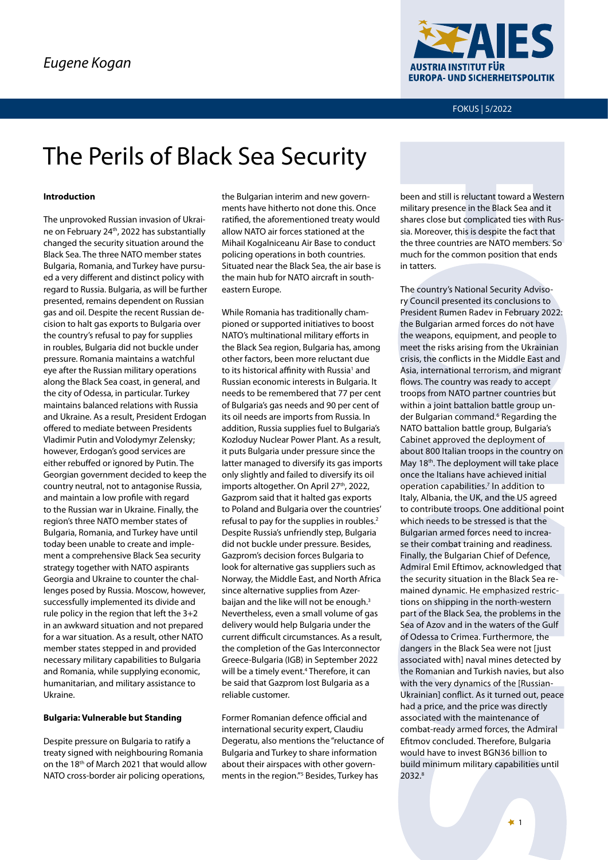

FOKUS | 5/2022

# The Perils of Black Sea Security

#### **Introduction**

The unprovoked Russian invasion of Ukraine on February 24<sup>th</sup>, 2022 has substantially changed the security situation around the Black Sea. The three NATO member states Bulgaria, Romania, and Turkey have pursued a very different and distinct policy with regard to Russia. Bulgaria, as will be further presented, remains dependent on Russian gas and oil. Despite the recent Russian decision to halt gas exports to Bulgaria over the country's refusal to pay for supplies in roubles, Bulgaria did not buckle under pressure. Romania maintains a watchful eye after the Russian military operations along the Black Sea coast, in general, and the city of Odessa, in particular. Turkey maintains balanced relations with Russia and Ukraine. As a result, President Erdogan offered to mediate between Presidents Vladimir Putin and Volodymyr Zelensky; however, Erdogan's good services are either rebuffed or ignored by Putin. The Georgian government decided to keep the country neutral, not to antagonise Russia, and maintain a low profile with regard to the Russian war in Ukraine. Finally, the region's three NATO member states of Bulgaria, Romania, and Turkey have until today been unable to create and implement a comprehensive Black Sea security strategy together with NATO aspirants Georgia and Ukraine to counter the challenges posed by Russia. Moscow, however, successfully implemented its divide and rule policy in the region that left the 3+2 in an awkward situation and not prepared for a war situation. As a result, other NATO member states stepped in and provided necessary military capabilities to Bulgaria and Romania, while supplying economic, humanitarian, and military assistance to Ukraine.

#### **Bulgaria: Vulnerable but Standing**

Despite pressure on Bulgaria to ratify a treaty signed with neighbouring Romania on the 18<sup>th</sup> of March 2021 that would allow NATO cross-border air policing operations,

the Bulgarian interim and new governments have hitherto not done this. Once ratified, the aforementioned treaty would allow NATO air forces stationed at the Mihail Kogalniceanu Air Base to conduct policing operations in both countries. Situated near the Black Sea, the air base is the main hub for NATO aircraft in southeastern Europe.

While Romania has traditionally championed or supported initiatives to boost NATO's multinational military efforts in the Black Sea region, Bulgaria has, among other factors, been more reluctant due to its historical affinity with Russia<sup>1</sup> and Russian economic interests in Bulgaria. It needs to be remembered that 77 per cent of Bulgaria's gas needs and 90 per cent of its oil needs are imports from Russia. In addition, Russia supplies fuel to Bulgaria's Kozloduy Nuclear Power Plant. As a result, it puts Bulgaria under pressure since the latter managed to diversify its gas imports only slightly and failed to diversify its oil imports altogether. On April 27<sup>th</sup>, 2022, Gazprom said that it halted gas exports to Poland and Bulgaria over the countries' refusal to pay for the supplies in roubles.<sup>2</sup> Despite Russia's unfriendly step, Bulgaria did not buckle under pressure. Besides, Gazprom's decision forces Bulgaria to look for alternative gas suppliers such as Norway, the Middle East, and North Africa since alternative supplies from Azerbaijan and the like will not be enough.<sup>3</sup> Nevertheless, even a small volume of gas delivery would help Bulgaria under the current difficult circumstances. As a result, the completion of the Gas Interconnector Greece-Bulgaria (IGB) in September 2022 will be a timely event.<sup>4</sup> Therefore, it can be said that Gazprom lost Bulgaria as a reliable customer.

Former Romanian defence official and international security expert, Claudiu Degeratu, also mentions the "reluctance of Bulgaria and Turkey to share information about their airspaces with other governments in the region."5 Besides, Turkey has

been and still is reluctant toward a Western military presence in the Black Sea and it shares close but complicated ties with Russia. Moreover, this is despite the fact that the three countries are NATO members. So much for the common position that ends in tatters.

The country's National Security Advisory Council presented its conclusions to President Rumen Radev in February 2022: the Bulgarian armed forces do not have the weapons, equipment, and people to meet the risks arising from the Ukrainian crisis, the conflicts in the Middle East and Asia, international terrorism, and migrant flows. The country was ready to accept troops from NATO partner countries but within a joint battalion battle group under Bulgarian command.<sup>6</sup> Regarding the NATO battalion battle group, Bulgaria's Cabinet approved the deployment of about 800 Italian troops in the country on May 18<sup>th</sup>. The deployment will take place once the Italians have achieved initial operation capabilities.7 In addition to Italy, Albania, the UK, and the US agreed to contribute troops. One additional point which needs to be stressed is that the Bulgarian armed forces need to increase their combat training and readiness. Finally, the Bulgarian Chief of Defence, Admiral Emil Eftimov, acknowledged that the security situation in the Black Sea remained dynamic. He emphasized restrictions on shipping in the north-western part of the Black Sea, the problems in the Sea of Azov and in the waters of the Gulf of Odessa to Crimea. Furthermore, the dangers in the Black Sea were not [just associated with] naval mines detected by the Romanian and Turkish navies, but also with the very dynamics of the [Russian-Ukrainian] conflict. As it turned out, peace had a price, and the price was directly associated with the maintenance of combat-ready armed forces, the Admiral Efitmov concluded. Therefore, Bulgaria would have to invest BGN36 billion to build minimum military capabilities until 2032.8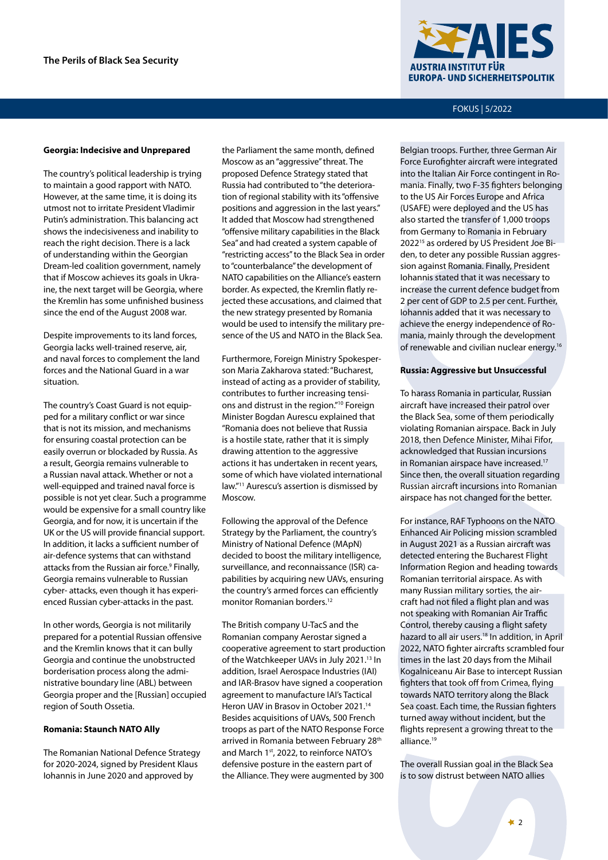

# FOKUS | 5/2022

#### **Georgia: Indecisive and Unprepared**

The country's political leadership is trying to maintain a good rapport with NATO. However, at the same time, it is doing its utmost not to irritate President Vladimir Putin's administration. This balancing act shows the indecisiveness and inability to reach the right decision. There is a lack of understanding within the Georgian Dream-led coalition government, namely that if Moscow achieves its goals in Ukraine, the next target will be Georgia, where the Kremlin has some unfinished business since the end of the August 2008 war.

Despite improvements to its land forces, Georgia lacks well-trained reserve, air, and naval forces to complement the land forces and the National Guard in a war situation.

The country's Coast Guard is not equipped for a military conflict or war since that is not its mission, and mechanisms for ensuring coastal protection can be easily overrun or blockaded by Russia. As a result, Georgia remains vulnerable to a Russian naval attack. Whether or not a well-equipped and trained naval force is possible is not yet clear. Such a programme would be expensive for a small country like Georgia, and for now, it is uncertain if the UK or the US will provide financial support. In addition, it lacks a sufficient number of air-defence systems that can withstand attacks from the Russian air force.<sup>9</sup> Finally, Georgia remains vulnerable to Russian cyber- attacks, even though it has experienced Russian cyber-attacks in the past.

In other words, Georgia is not militarily prepared for a potential Russian offensive and the Kremlin knows that it can bully Georgia and continue the unobstructed borderisation process along the administrative boundary line (ABL) between Georgia proper and the [Russian] occupied region of South Ossetia.

#### **Romania: Staunch NATO Ally**

The Romanian National Defence Strategy for 2020-2024, signed by President Klaus Iohannis in June 2020 and approved by

the Parliament the same month, defined Moscow as an "aggressive" threat. The proposed Defence Strategy stated that Russia had contributed to "the deterioration of regional stability with its "offensive positions and aggression in the last years." It added that Moscow had strengthened "offensive military capabilities in the Black Sea" and had created a system capable of "restricting access" to the Black Sea in order to "counterbalance" the development of NATO capabilities on the Alliance's eastern border. As expected, the Kremlin flatly rejected these accusations, and claimed that the new strategy presented by Romania would be used to intensify the military presence of the US and NATO in the Black Sea.

Furthermore, Foreign Ministry Spokesperson Maria Zakharova stated: "Bucharest, instead of acting as a provider of stability, contributes to further increasing tensions and distrust in the region."10 Foreign Minister Bogdan Aurescu explained that "Romania does not believe that Russia is a hostile state, rather that it is simply drawing attention to the aggressive actions it has undertaken in recent years, some of which have violated international law."11 Aurescu's assertion is dismissed by Moscow.

Following the approval of the Defence Strategy by the Parliament, the country's Ministry of National Defence (MApN) decided to boost the military intelligence, surveillance, and reconnaissance (ISR) capabilities by acquiring new UAVs, ensuring the country's armed forces can efficiently monitor Romanian borders.<sup>12</sup>

The British company U-TacS and the Romanian company Aerostar signed a cooperative agreement to start production of the Watchkeeper UAVs in July 2021.<sup>13</sup> In addition, Israel Aerospace Industries (IAI) and IAR-Brasov have signed a cooperation agreement to manufacture IAI's Tactical Heron UAV in Brasov in October 2021.<sup>14</sup> Besides acquisitions of UAVs, 500 French troops as part of the NATO Response Force arrived in Romania between February 28<sup>th</sup> and March 1st, 2022, to reinforce NATO's defensive posture in the eastern part of the Alliance. They were augmented by 300

Belgian troops. Further, three German Air Force Eurofighter aircraft were integrated into the Italian Air Force contingent in Romania. Finally, two F-35 fighters belonging to the US Air Forces Europe and Africa (USAFE) were deployed and the US has also started the transfer of 1,000 troops from Germany to Romania in February 202215 as ordered by US President Joe Biden, to deter any possible Russian aggression against Romania. Finally, President Iohannis stated that it was necessary to increase the current defence budget from 2 per cent of GDP to 2.5 per cent. Further, Iohannis added that it was necessary to achieve the energy independence of Romania, mainly through the development of renewable and civilian nuclear energy.<sup>16</sup>

#### **Russia: Aggressive but Unsuccessful**

To harass Romania in particular, Russian aircraft have increased their patrol over the Black Sea, some of them periodically violating Romanian airspace. Back in July 2018, then Defence Minister, Mihai Fifor, acknowledged that Russian incursions in Romanian airspace have increased.<sup>17</sup> Since then, the overall situation regarding Russian aircraft incursions into Romanian airspace has not changed for the better.

For instance, RAF Typhoons on the NATO Enhanced Air Policing mission scrambled in August 2021 as a Russian aircraft was detected entering the Bucharest Flight Information Region and heading towards Romanian territorial airspace. As with many Russian military sorties, the aircraft had not filed a flight plan and was not speaking with Romanian Air Traffic Control, thereby causing a flight safety hazard to all air users.<sup>18</sup> In addition, in April 2022, NATO fighter aircrafts scrambled four times in the last 20 days from the Mihail Kogalniceanu Air Base to intercept Russian fighters that took off from Crimea, flying towards NATO territory along the Black Sea coast. Each time, the Russian fighters turned away without incident, but the flights represent a growing threat to the alliance.<sup>19</sup>

The overall Russian goal in the Black Sea is to sow distrust between NATO allies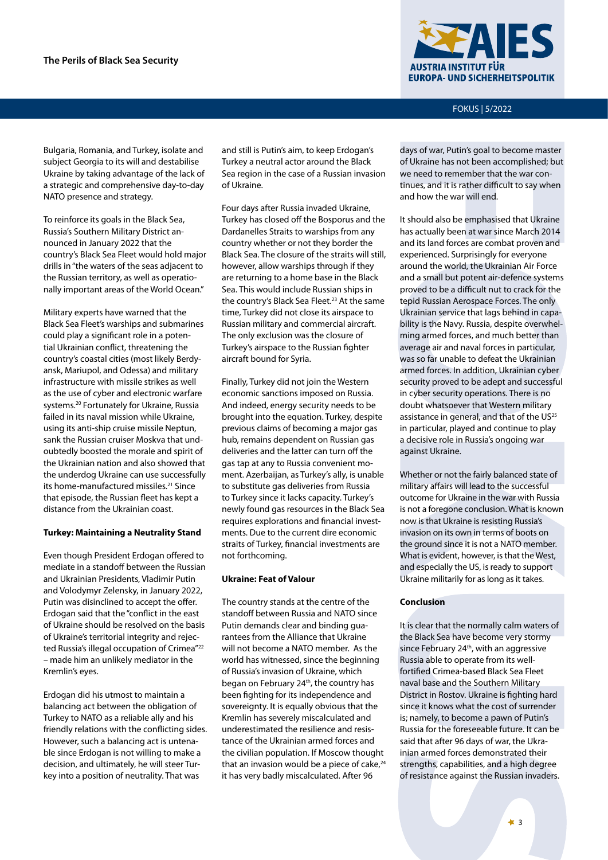

FOKUS | 5/2022

Bulgaria, Romania, and Turkey, isolate and subject Georgia to its will and destabilise Ukraine by taking advantage of the lack of a strategic and comprehensive day-to-day NATO presence and strategy.

To reinforce its goals in the Black Sea, Russia's Southern Military District announced in January 2022 that the country's Black Sea Fleet would hold major drills in "the waters of the seas adjacent to the Russian territory, as well as operationally important areas of the World Ocean."

Military experts have warned that the Black Sea Fleet's warships and submarines could play a significant role in a potential Ukrainian conflict, threatening the country's coastal cities (most likely Berdyansk, Mariupol, and Odessa) and military infrastructure with missile strikes as well as the use of cyber and electronic warfare systems.20 Fortunately for Ukraine, Russia failed in its naval mission while Ukraine, using its anti-ship cruise missile Neptun, sank the Russian cruiser Moskva that undoubtedly boosted the morale and spirit of the Ukrainian nation and also showed that the underdog Ukraine can use successfully its home-manufactured missiles.<sup>21</sup> Since that episode, the Russian fleet has kept a distance from the Ukrainian coast.

## **Turkey: Maintaining a Neutrality Stand**

Even though President Erdogan offered to mediate in a standoff between the Russian and Ukrainian Presidents, Vladimir Putin and Volodymyr Zelensky, in January 2022, Putin was disinclined to accept the offer. Erdogan said that the "conflict in the east of Ukraine should be resolved on the basis of Ukraine's territorial integrity and rejected Russia's illegal occupation of Crimea"<sup>22</sup> – made him an unlikely mediator in the Kremlin's eyes.

Erdogan did his utmost to maintain a balancing act between the obligation of Turkey to NATO as a reliable ally and his friendly relations with the conflicting sides. However, such a balancing act is untenable since Erdogan is not willing to make a decision, and ultimately, he will steer Turkey into a position of neutrality. That was

and still is Putin's aim, to keep Erdogan's Turkey a neutral actor around the Black Sea region in the case of a Russian invasion of Ukraine.

Four days after Russia invaded Ukraine, Turkey has closed off the Bosporus and the Dardanelles Straits to warships from any country whether or not they border the Black Sea. The closure of the straits will still, however, allow warships through if they are returning to a home base in the Black Sea. This would include Russian ships in the country's Black Sea Fleet.<sup>23</sup> At the same time, Turkey did not close its airspace to Russian military and commercial aircraft. The only exclusion was the closure of Turkey's airspace to the Russian fighter aircraft bound for Syria.

Finally, Turkey did not join the Western economic sanctions imposed on Russia. And indeed, energy security needs to be brought into the equation. Turkey, despite previous claims of becoming a major gas hub, remains dependent on Russian gas deliveries and the latter can turn off the gas tap at any to Russia convenient moment. Azerbaijan, as Turkey's ally, is unable to substitute gas deliveries from Russia to Turkey since it lacks capacity. Turkey's newly found gas resources in the Black Sea requires explorations and financial investments. Due to the current dire economic straits of Turkey, financial investments are not forthcoming.

## **Ukraine: Feat of Valour**

The country stands at the centre of the standoff between Russia and NATO since Putin demands clear and binding guarantees from the Alliance that Ukraine will not become a NATO member. As the world has witnessed, since the beginning of Russia's invasion of Ukraine, which began on February 24<sup>th</sup>, the country has been fighting for its independence and sovereignty. It is equally obvious that the Kremlin has severely miscalculated and underestimated the resilience and resistance of the Ukrainian armed forces and the civilian population. If Moscow thought that an invasion would be a piece of cake, $24$ it has very badly miscalculated. After 96

days of war, Putin's goal to become master of Ukraine has not been accomplished; but we need to remember that the war continues, and it is rather difficult to say when and how the war will end.

It should also be emphasised that Ukraine has actually been at war since March 2014 and its land forces are combat proven and experienced. Surprisingly for everyone around the world, the Ukrainian Air Force and a small but potent air-defence systems proved to be a difficult nut to crack for the tepid Russian Aerospace Forces. The only Ukrainian service that lags behind in capability is the Navy. Russia, despite overwhelming armed forces, and much better than average air and naval forces in particular, was so far unable to defeat the Ukrainian armed forces. In addition, Ukrainian cyber security proved to be adept and successful in cyber security operations. There is no doubt whatsoever that Western military assistance in general, and that of the US<sup>25</sup> in particular, played and continue to play a decisive role in Russia's ongoing war against Ukraine.

Whether or not the fairly balanced state of military affairs will lead to the successful outcome for Ukraine in the war with Russia is not a foregone conclusion. What is known now is that Ukraine is resisting Russia's invasion on its own in terms of boots on the ground since it is not a NATO member. What is evident, however, is that the West, and especially the US, is ready to support Ukraine militarily for as long as it takes.

## **Conclusion**

It is clear that the normally calm waters of the Black Sea have become very stormy since February 24<sup>th</sup>, with an aggressive Russia able to operate from its wellfortified Crimea-based Black Sea Fleet naval base and the Southern Military District in Rostov. Ukraine is fighting hard since it knows what the cost of surrender is; namely, to become a pawn of Putin's Russia for the foreseeable future. It can be said that after 96 days of war, the Ukrainian armed forces demonstrated their strengths, capabilities, and a high degree of resistance against the Russian invaders.